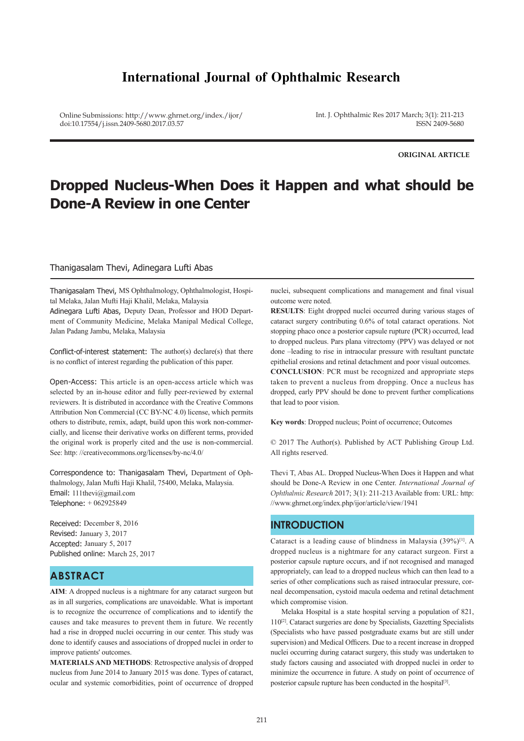# **International Journal of Ophthalmic Research**

Online Submissions: http://www.ghrnet.org/index./ijor/ doi:10.17554/j.issn.2409-5680.2017.03.57

Int. J. Ophthalmic Res 2017 March; 3(1): 211-213 ISSN 2409-5680

**ORIGINAL ARTICLE**

# **Dropped Nucleus-When Does it Happen and what should be Done-A Review in one Center**

#### Thanigasalam Thevi, Adinegara Lufti Abas

Thanigasalam Thevi, MS Ophthalmology, Ophthalmologist, Hospital Melaka, Jalan Mufti Haji Khalil, Melaka, Malaysia Adinegara Lufti Abas, Deputy Dean, Professor and HOD Department of Community Medicine, Melaka Manipal Medical College, Jalan Padang Jambu, Melaka, Malaysia

Conflict-of-interest statement: The author(s) declare(s) that there is no conflict of interest regarding the publication of this paper.

Open-Access: This article is an open-access article which was selected by an in-house editor and fully peer-reviewed by external reviewers. It is distributed in accordance with the Creative Commons Attribution Non Commercial (CC BY-NC 4.0) license, which permits others to distribute, remix, adapt, build upon this work non-commercially, and license their derivative works on different terms, provided the original work is properly cited and the use is non-commercial. See: http: //creativecommons.org/licenses/by-nc/4.0/

Correspondence to: Thanigasalam Thevi, Department of Ophthalmology, Jalan Mufti Haji Khalil, 75400, Melaka, Malaysia. Email: 111thevi@gmail.com Telephone: + 062925849

Received: December 8, 2016 Revised: January 3, 2017 Accepted: January 5, 2017 Published online: March 25, 2017

## **ABSTRACT**

**AIM**: A dropped nucleus is a nightmare for any cataract surgeon but as in all surgeries, complications are unavoidable. What is important is to recognize the occurrence of complications and to identify the causes and take measures to prevent them in future. We recently had a rise in dropped nuclei occurring in our center. This study was done to identify causes and associations of dropped nuclei in order to improve patients' outcomes.

**MATERIALS AND METHODS**: Retrospective analysis of dropped nucleus from June 2014 to January 2015 was done. Types of cataract, ocular and systemic comorbidities, point of occurrence of dropped

nuclei, subsequent complications and management and final visual outcome were noted.

**RESULTS**: Eight dropped nuclei occurred during various stages of cataract surgery contributing 0.6% of total cataract operations. Not stopping phaco once a posterior capsule rupture (PCR) occurred, lead to dropped nucleus. Pars plana vitrectomy (PPV) was delayed or not done –leading to rise in intraocular pressure with resultant punctate epithelial erosions and retinal detachment and poor visual outcomes.

**CONCLUSION**: PCR must be recognized and appropriate steps taken to prevent a nucleus from dropping. Once a nucleus has dropped, early PPV should be done to prevent further complications that lead to poor vision.

**Key words**: Dropped nucleus; Point of occurrence; Outcomes

© 2017 The Author(s). Published by ACT Publishing Group Ltd. All rights reserved.

Thevi T, Abas AL. Dropped Nucleus-When Does it Happen and what should be Done-A Review in one Center. *International Journal of Ophthalmic Research* 2017; 3(1): 211-213 Available from: URL: http: //www.ghrnet.org/index.php/ijor/article/view/1941

### **INTRODUCTION**

Cataract is a leading cause of blindness in Malaysia (39%)[1]. A dropped nucleus is a nightmare for any cataract surgeon. First a posterior capsule rupture occurs, and if not recognised and managed appropriately, can lead to a dropped nucleus which can then lead to a series of other complications such as raised intraocular pressure, corneal decompensation, cystoid macula oedema and retinal detachment which compromise vision.

 Melaka Hospital is a state hospital serving a population of 821, 110[2]. Cataract surgeries are done by Specialists, Gazetting Specialists (Specialists who have passed postgraduate exams but are still under supervision) and Medical Officers. Due to a recent increase in dropped nuclei occurring during cataract surgery, this study was undertaken to study factors causing and associated with dropped nuclei in order to minimize the occurrence in future. A study on point of occurrence of posterior capsule rupture has been conducted in the hospital<sup>[3]</sup>.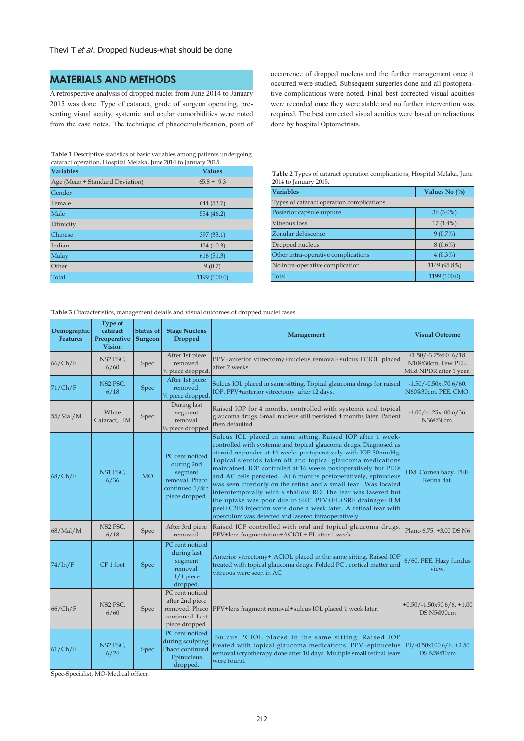## **MATERIALS AND METHODS**

A retrospective analysis of dropped nuclei from June 2014 to January 2015 was done. Type of cataract, grade of surgeon operating, presenting visual acuity, systemic and ocular comorbidities were noted from the case notes. The technique of phacoemulsification, point of

**Table 1** Descriptive statistics of basic variables among patients undergoing cataract operation, Hospital Melaka, June 2014 to January 2015.

| <b>Variables</b>                | <b>Values</b> |  |  |  |  |
|---------------------------------|---------------|--|--|--|--|
| Age (Mean + Standard Deviation) | $65.8 + 9.3$  |  |  |  |  |
| Gender                          |               |  |  |  |  |
| Female                          | 644 (53.7)    |  |  |  |  |
| Male                            | 554 (46.2)    |  |  |  |  |
| Ethnicity                       |               |  |  |  |  |
| Chinese                         | 397 (33.1)    |  |  |  |  |
| Indian                          | 124(10.3)     |  |  |  |  |
| Malay                           | 616(51.3)     |  |  |  |  |
| Other                           | 9(0.7)        |  |  |  |  |
| Total                           | 1199 (100.0)  |  |  |  |  |

occurrence of dropped nucleus and the further management once it occurred were studied. Subsequent surgeries done and all postoperative complications were noted. Final best corrected visual acuities were recorded once they were stable and no further intervention was required. The best corrected visual acuities were based on refractions done by hospital Optometrists.

| Table 2 Types of cataract operation complications, Hospital Melaka, June |  |
|--------------------------------------------------------------------------|--|
| 2014 to January 2015.                                                    |  |

| <b>Variables</b>                          | Values No $(\%$ |  |  |  |  |
|-------------------------------------------|-----------------|--|--|--|--|
| Types of cataract operation complications |                 |  |  |  |  |
| Posterior capsule rupture                 | $36(3.0\%)$     |  |  |  |  |
| Vitreous loss                             | $17(1.4\%)$     |  |  |  |  |
| Zonular dehiscence                        | 9(0.7%)         |  |  |  |  |
| Dropped nucleus                           | $8(0.6\%)$      |  |  |  |  |
| Other intra-operative complications       | $4(0.3\%)$      |  |  |  |  |
| No intra-operative complication           | 1149 (95.8%)    |  |  |  |  |
| Total                                     | 1199 (100.0)    |  |  |  |  |

**Table 3** Characteristics, management details and visual outcomes of dropped nuclei cases.

| Demographic<br><b>Features</b> | <b>Type of</b><br>cataract<br>Preoperative<br><b>Vision</b> | <b>Status of</b><br>Surgeon | <b>Stage Nucleus</b><br><b>Dropped</b>                                                          | Management                                                                                                                                                                                                                                                                                                                                                                                                                                                                                                                                                                                                                                                                                                                       | <b>Visual Outcome</b>                                                     |
|--------------------------------|-------------------------------------------------------------|-----------------------------|-------------------------------------------------------------------------------------------------|----------------------------------------------------------------------------------------------------------------------------------------------------------------------------------------------------------------------------------------------------------------------------------------------------------------------------------------------------------------------------------------------------------------------------------------------------------------------------------------------------------------------------------------------------------------------------------------------------------------------------------------------------------------------------------------------------------------------------------|---------------------------------------------------------------------------|
| 66/Ch/F                        | NS2 PSC,<br>6/60                                            | Spec                        | After 1st piece<br>removed.<br>3/4 piece dropped.                                               | PPV+anterior vitrectomy+nucleus removal+sulcus PCIOL placed<br>after 2 weeks                                                                                                                                                                                                                                                                                                                                                                                                                                                                                                                                                                                                                                                     | $+1.50$ /-3.75x60 '6/18.<br>N10@30cm. Few PEE.<br>Mild NPDR after 1 year. |
| 71/Ch/F                        | NS <sub>2</sub> PSC,<br>6/18                                | Spec                        | After 1st piece<br>removed.<br>3/4 piece dropped.                                               | Sulcus IOL placed in same sitting. Topical glaucoma drugs for raised<br>IOP. PPV+anterior vitrectomy after 12 days.                                                                                                                                                                                                                                                                                                                                                                                                                                                                                                                                                                                                              | $-1.50/-0.50 \times 1706/60.$<br>N60@30cm. PEE. CMO.                      |
| 55/Mal/M                       | White<br>Cataract, HM                                       | Spec                        | During last<br>segment<br>removal.<br>1/4 piece dropped                                         | Raised IOP for 4 months, controlled with systemic and topical<br>glaucoma drugs. Small nucleus still persisted 4 months later. Patient<br>then defaulted.                                                                                                                                                                                                                                                                                                                                                                                                                                                                                                                                                                        | $-1.00$ / $-1.25x1006/36$ .<br>N36@30cm.                                  |
| 68/Ch/F                        | NS1 PSC,<br>6/36                                            | <b>MO</b>                   | PC rent noticed<br>during 2nd<br>segment<br>removal. Phaco<br>continued.1/8th<br>piece dropped. | Sulcus IOL placed in same sitting. Raised IOP after 1 week-<br>controlled with systemic and topical glaucoma drugs. Diagnosed as<br>steroid responder at 14 weeks postoperatively with IOP 30mmHg.<br>Topical steroids taken off and topical glaucoma medications<br>maintained. IOP controlled at 16 weeks postoperatively but PEEs<br>and AC cells persisted. At 6 months postoperatively, epinucleus<br>was seen inferiorly on the retina and a small tear. Was located<br>inferotemporally with a shallow RD. The tear was lasered but<br>the uptake was poor due to SRF. PPV+EL+SRF drainage+ILM<br>peel+C3F8 injection were done a week later. A retinal tear with<br>operculum was detected and lasered intraoperatively. | HM. Cornea hazy. PEE.<br>Retina flat.                                     |
| 68/Mal/M                       | NS2 PSC,<br>6/18                                            | Spec                        | After 3rd piece<br>removed.                                                                     | Raised IOP controlled with oral and topical glaucoma drugs.<br>PPV+lens fragmentation+ACIOL+ PI after 1 week                                                                                                                                                                                                                                                                                                                                                                                                                                                                                                                                                                                                                     | Plano 6.75. +3.00 DS N6                                                   |
| 74/ln/F                        | CF <sub>1</sub> foot                                        | Spec                        | PC rent noticed<br>during last<br>segment<br>removal.<br>$1/4$ piece<br>dropped.                | Anterior vitrectomy+ ACIOL placed in the same sitting. Raised IOP<br>treated with topical glaucoma drugs. Folded PC, cortical matter and<br>vitreous were seen in AC.                                                                                                                                                                                                                                                                                                                                                                                                                                                                                                                                                            | 6/60. PEE. Hazy fundus<br>view.                                           |
| 66/Ch/F                        | NS2 PSC,<br>6/60                                            | <b>Spec</b>                 | PC rent noticed<br>after 2nd piece<br>removed. Phaco<br>continued. Last<br>piece dropped.       | PPV+lens fragment removal+sulcus IOL placed 1 week later.                                                                                                                                                                                                                                                                                                                                                                                                                                                                                                                                                                                                                                                                        | $+0.50/-1.50x906/6. +1.00$<br>DS N5@30cm                                  |
| 61/Ch/F                        | NS2 PSC,<br>6/24                                            | <b>Spec</b>                 | PC rent noticed<br>during sculpting.<br>Phaco continued.<br>Epinucleus<br>dropped.              | Sulcus PCIOL placed in the same sitting. Raised IOP<br>treated with topical glaucoma medications. PPV+epinucelus<br>removal+cryotherapy done after 10 days. Multiple small retinal tears<br>were found.                                                                                                                                                                                                                                                                                                                                                                                                                                                                                                                          | $Pl/-0.50x1006/6. +2.50$<br>DS N5@30cm                                    |

Spec-Specialist, MO-Medical officer.